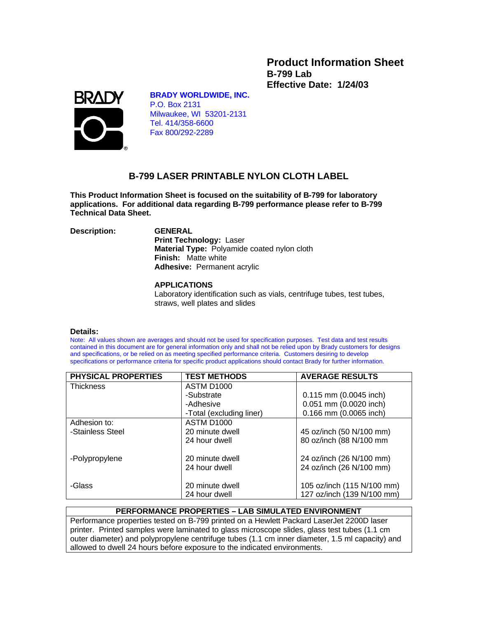**Product Information Sheet B-799 Lab Effective Date: 1/24/03**



### **BRADY WORLDWIDE, INC.**

P.O. Box 2131 Milwaukee, WI 53201-2131 Tel. 414/358-6600 Fax 800/292-2289

# **B-799 LASER PRINTABLE NYLON CLOTH LABEL**

**This Product Information Sheet is focused on the suitability of B-799 for laboratory applications. For additional data regarding B-799 performance please refer to B-799 Technical Data Sheet.**

**Description: GENERAL**

 **Print Technology:** Laser  **Material Type:** Polyamide coated nylon cloth  **Finish:** Matte white  **Adhesive:** Permanent acrylic

## **APPLICATIONS**

Laboratory identification such as vials, centrifuge tubes, test tubes, straws, well plates and slides

#### **Details:**

Note: All values shown are averages and should not be used for specification purposes. Test data and test results contained in this document are for general information only and shall not be relied upon by Brady customers for designs and specifications, or be relied on as meeting specified performance criteria. Customers desiring to develop specifications or performance criteria for specific product applications should contact Brady for further information.

| <b>PHYSICAL PROPERTIES</b> | <b>TEST METHODS</b>      | <b>AVERAGE RESULTS</b>     |
|----------------------------|--------------------------|----------------------------|
| <b>Thickness</b>           | <b>ASTM D1000</b>        |                            |
|                            | -Substrate               | $0.115$ mm $(0.0045$ inch) |
|                            | -Adhesive                | 0.051 mm (0.0020 inch)     |
|                            | -Total (excluding liner) | 0.166 mm (0.0065 inch)     |
| Adhesion to:               | <b>ASTM D1000</b>        |                            |
| -Stainless Steel           | 20 minute dwell          | 45 oz/inch (50 N/100 mm)   |
|                            | 24 hour dwell            | 80 oz/inch (88 N/100 mm    |
| -Polypropylene             | 20 minute dwell          | 24 oz/inch (26 N/100 mm)   |
|                            | 24 hour dwell            | 24 oz/inch (26 N/100 mm)   |
| -Glass                     | 20 minute dwell          | 105 oz/inch (115 N/100 mm) |
|                            | 24 hour dwell            | 127 oz/inch (139 N/100 mm) |

## **PERFORMANCE PROPERTIES – LAB SIMULATED ENVIRONMENT**

Performance properties tested on B-799 printed on a Hewlett Packard LaserJet 2200D laser printer. Printed samples were laminated to glass microscope slides, glass test tubes (1.1 cm outer diameter) and polypropylene centrifuge tubes (1.1 cm inner diameter, 1.5 ml capacity) and allowed to dwell 24 hours before exposure to the indicated environments.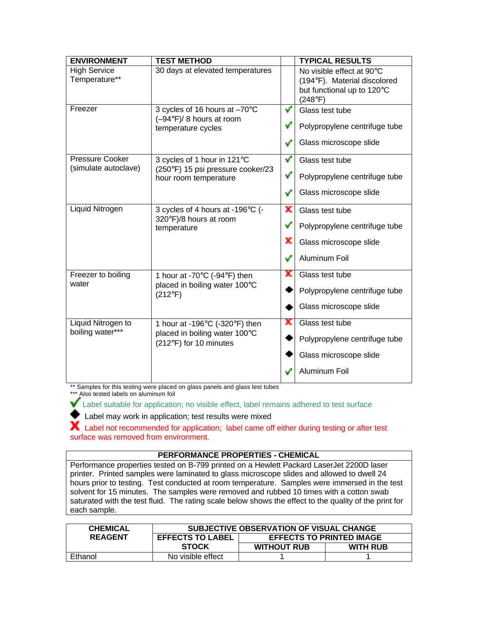| <b>ENVIRONMENT</b>                             | <b>TEST METHOD</b>                                                                                                       |    | <b>TYPICAL RESULTS</b>                                                                  |  |
|------------------------------------------------|--------------------------------------------------------------------------------------------------------------------------|----|-----------------------------------------------------------------------------------------|--|
| <b>High Service</b><br>Temperature**           | 30 days at elevated temperatures                                                                                         |    | No visible effect at 90°C<br>(194°F). Material discolored<br>but functional up to 120°C |  |
|                                                |                                                                                                                          |    | (248°F)                                                                                 |  |
| Freezer                                        | 3 cycles of 16 hours at -70°C<br>$(-94^{\circ}F)/8$ hours at room<br>temperature cycles                                  | v  | Glass test tube                                                                         |  |
|                                                |                                                                                                                          | v  | Polypropylene centrifuge tube                                                           |  |
|                                                |                                                                                                                          | v  | Glass microscope slide                                                                  |  |
| <b>Pressure Cooker</b><br>(simulate autoclave) | 3 cycles of 1 hour in 121°C<br>(250°F) 15 psi pressure cooker/23                                                         | v  | Glass test tube                                                                         |  |
|                                                | hour room temperature                                                                                                    | v  | Polypropylene centrifuge tube                                                           |  |
|                                                |                                                                                                                          | v  | Glass microscope slide                                                                  |  |
| Liquid Nitrogen                                | 3 cycles of 4 hours at -196°C (-<br>320°F)/8 hours at room<br>temperature                                                | x  | Glass test tube                                                                         |  |
|                                                |                                                                                                                          | v  | Polypropylene centrifuge tube                                                           |  |
|                                                |                                                                                                                          | x  | Glass microscope slide                                                                  |  |
|                                                |                                                                                                                          |    | Aluminum Foil                                                                           |  |
| Freezer to boiling<br>water                    | 1 hour at -70 $\mathrm{^{\circ}C}$ (-94 $\mathrm{^{\circ}F}$ ) then<br>placed in boiling water 100°C<br>$(212^{\circ}F)$ | х  | Glass test tube                                                                         |  |
|                                                |                                                                                                                          |    | Polypropylene centrifuge tube                                                           |  |
|                                                |                                                                                                                          |    | Glass microscope slide                                                                  |  |
| Liquid Nitrogen to<br>boiling water***         | 1 hour at -196 $\degree$ C (-320 $\degree$ F) then<br>placed in boiling water 100°C<br>(212°F) for 10 minutes            | х  | Glass test tube                                                                         |  |
|                                                |                                                                                                                          |    | Polypropylene centrifuge tube                                                           |  |
|                                                |                                                                                                                          |    | Glass microscope slide                                                                  |  |
|                                                |                                                                                                                          | می | Aluminum Foil                                                                           |  |

\*\* Samples for this testing were placed on glass panels and glass test tubes

\*\*\* Also tested labels on aluminum foil

Label suitable for application; no visible effect, label remains adhered to test surface

Label may work in application; test results were mixed

 $\blacktriangleright$  Label not recommended for application; label came off either during testing or after test surface was removed from environment.

## **PERFORMANCE PROPERTIES - CHEMICAL**

Performance properties tested on B-799 printed on a Hewlett Packard LaserJet 2200D laser printer. Printed samples were laminated to glass microscope slides and allowed to dwell 24 hours prior to testing. Test conducted at room temperature. Samples were immersed in the test solvent for 15 minutes. The samples were removed and rubbed 10 times with a cotton swab saturated with the test fluid. The rating scale below shows the effect to the quality of the print for each sample.

| <b>CHEMICAL</b> | SUBJECTIVE OBSERVATION OF VISUAL CHANGE |                                 |                 |  |
|-----------------|-----------------------------------------|---------------------------------|-----------------|--|
| <b>REAGENT</b>  | <b>EFFECTS TO LABEL</b>                 | <b>EFFECTS TO PRINTED IMAGE</b> |                 |  |
|                 | <b>STOCK</b>                            | <b>WITHOUT RUB</b>              | <b>WITH RUB</b> |  |
| Ethanol         | No visible effect                       |                                 |                 |  |